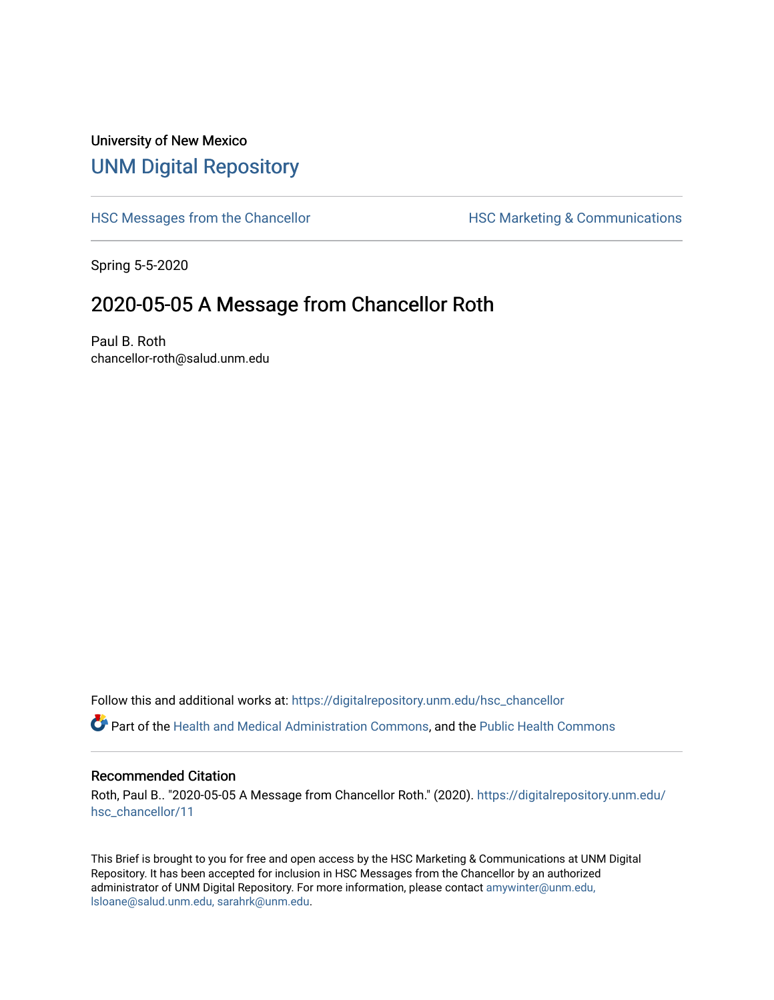## University of New Mexico [UNM Digital Repository](https://digitalrepository.unm.edu/)

[HSC Messages from the Chancellor](https://digitalrepository.unm.edu/hsc_chancellor) **HSC Marketing & Communications** 

Spring 5-5-2020

## 2020-05-05 A Message from Chancellor Roth

Paul B. Roth chancellor-roth@salud.unm.edu

Follow this and additional works at: [https://digitalrepository.unm.edu/hsc\\_chancellor](https://digitalrepository.unm.edu/hsc_chancellor?utm_source=digitalrepository.unm.edu%2Fhsc_chancellor%2F11&utm_medium=PDF&utm_campaign=PDFCoverPages) 

Part of the [Health and Medical Administration Commons](http://network.bepress.com/hgg/discipline/663?utm_source=digitalrepository.unm.edu%2Fhsc_chancellor%2F11&utm_medium=PDF&utm_campaign=PDFCoverPages), and the [Public Health Commons](http://network.bepress.com/hgg/discipline/738?utm_source=digitalrepository.unm.edu%2Fhsc_chancellor%2F11&utm_medium=PDF&utm_campaign=PDFCoverPages) 

#### Recommended Citation

Roth, Paul B.. "2020-05-05 A Message from Chancellor Roth." (2020). [https://digitalrepository.unm.edu/](https://digitalrepository.unm.edu/hsc_chancellor/11?utm_source=digitalrepository.unm.edu%2Fhsc_chancellor%2F11&utm_medium=PDF&utm_campaign=PDFCoverPages) [hsc\\_chancellor/11](https://digitalrepository.unm.edu/hsc_chancellor/11?utm_source=digitalrepository.unm.edu%2Fhsc_chancellor%2F11&utm_medium=PDF&utm_campaign=PDFCoverPages) 

This Brief is brought to you for free and open access by the HSC Marketing & Communications at UNM Digital Repository. It has been accepted for inclusion in HSC Messages from the Chancellor by an authorized administrator of UNM Digital Repository. For more information, please contact [amywinter@unm.edu,](mailto:amywinter@unm.edu,%20lsloane@salud.unm.edu,%20sarahrk@unm.edu) [lsloane@salud.unm.edu, sarahrk@unm.edu.](mailto:amywinter@unm.edu,%20lsloane@salud.unm.edu,%20sarahrk@unm.edu)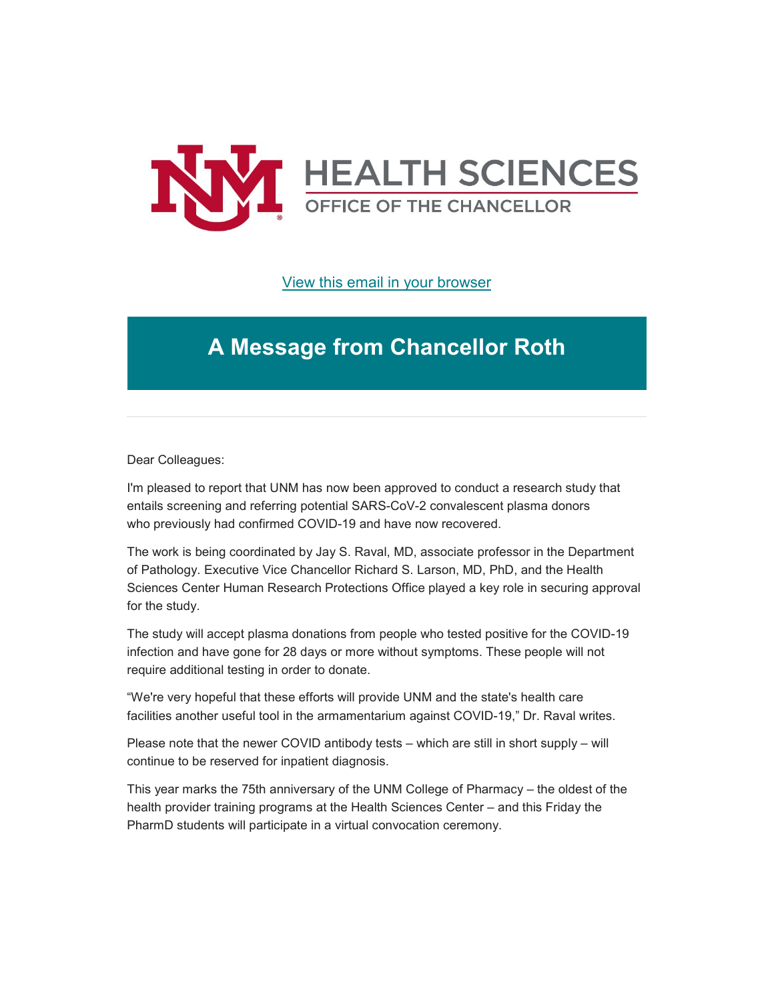

### [View this email in your browser](https://mailchi.mp/f7bda8b739f7/message-from-the-chancellor-coronavirus-4406908?e=b4bbfca2c0)

# **A Message from Chancellor Roth**

Dear Colleagues:

I'm pleased to report that UNM has now been approved to conduct a research study that entails screening and referring potential SARS-CoV-2 convalescent plasma donors who previously had confirmed COVID-19 and have now recovered.

The work is being coordinated by Jay S. Raval, MD, associate professor in the Department of Pathology. Executive Vice Chancellor Richard S. Larson, MD, PhD, and the Health Sciences Center Human Research Protections Office played a key role in securing approval for the study.

The study will accept plasma donations from people who tested positive for the COVID-19 infection and have gone for 28 days or more without symptoms. These people will not require additional testing in order to donate.

"We're very hopeful that these efforts will provide UNM and the state's health care facilities another useful tool in the armamentarium against COVID-19," Dr. Raval writes.

Please note that the newer COVID antibody tests – which are still in short supply – will continue to be reserved for inpatient diagnosis.

This year marks the 75th anniversary of the UNM College of Pharmacy – the oldest of the health provider training programs at the Health Sciences Center – and this Friday the PharmD students will participate in a virtual convocation ceremony.